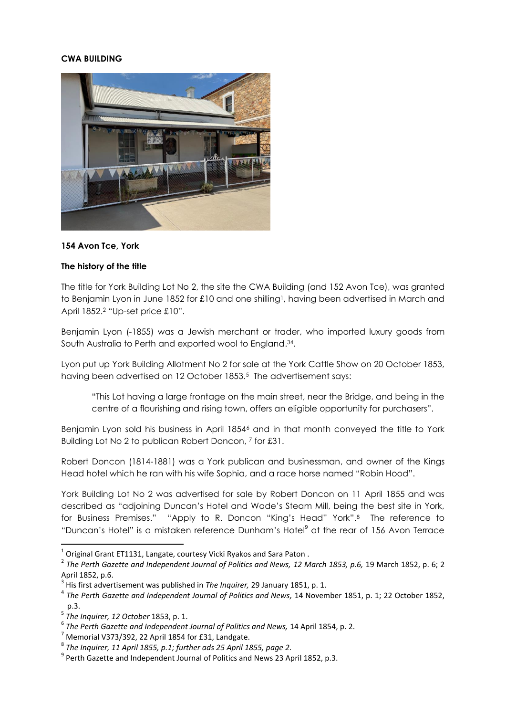### **CWA BUILDING**



#### **154 Avon Tce, York**

#### **The history of the title**

The title for York Building Lot No 2, the site the CWA Building (and 152 Avon Tce), was granted to Benjamin Lyon in June 1852 for £10 and one shilling<sup>1</sup>, having been advertised in March and April 1852.<sup>2</sup> "Up-set price £10".

Benjamin Lyon (-1855) was a Jewish merchant or trader, who imported luxury goods from South Australia to Perth and exported wool to England. 34.

Lyon put up York Building Allotment No 2 for sale at the York Cattle Show on 20 October 1853, having been advertised on 12 October 1853.<sup>5</sup> The advertisement says:

"This Lot having a large frontage on the main street, near the Bridge, and being in the centre of a flourishing and rising town, offers an eligible opportunity for purchasers".

Benjamin Lyon sold his business in April 1854<sup>6</sup> and in that month conveyed the title to York Building Lot No 2 to publican Robert Doncon, <sup>7</sup> for £31.

Robert Doncon (1814-1881) was a York publican and businessman, and owner of the Kings Head hotel which he ran with his wife Sophia, and a race horse named "Robin Hood".

York Building Lot No 2 was advertised for sale by Robert Doncon on 11 April 1855 and was described as "adjoining Duncan's Hotel and Wade's Steam Mill, being the best site in York, for Business Premises." "Apply to R. Doncon "King's Head" York".8 The reference to "Duncan's Hotel" is a mistaken reference Dunham's Hotel<sup>9</sup> at the rear of 156 Avon Terrace

**.** 

 $^{1}$  Original Grant ET1131, Langate, courtesy Vicki Ryakos and Sara Paton.

<sup>&</sup>lt;sup>2</sup> The Perth Gazette and Independent Journal of Politics and News, 12 March 1853, p.6, 19 March 1852, p. 6; 2 April 1852, p.6.

<sup>3</sup> His first advertisement was published in *The Inquirer,* 29 January 1851, p. 1.

<sup>&</sup>lt;sup>4</sup> The Perth Gazette and Independent Journal of Politics and News, 14 November 1851, p. 1; 22 October 1852, p.3.

<sup>5</sup> *The Inquirer, 12 October* 1853, p. 1.

<sup>&</sup>lt;sup>6</sup> The Perth Gazette and Independent Journal of Politics and News, 14 April 1854, p. 2.

 $7$  Memorial V373/392, 22 April 1854 for £31, Landgate.

<sup>8</sup> *The Inquirer, 11 April 1855, p.1; further ads 25 April 1855, page 2.*

 $^9$  Perth Gazette and Independent Journal of Politics and News 23 April 1852, p.3.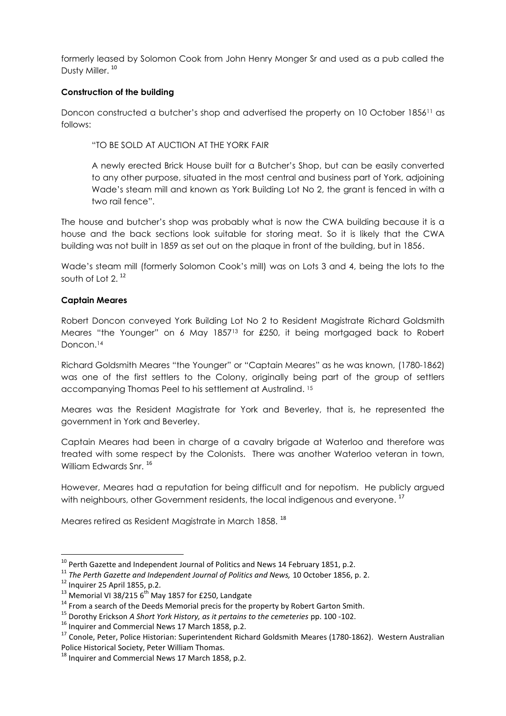formerly leased by Solomon Cook from John Henry Monger Sr and used as a pub called the Dusty Miller.<sup>10</sup>

## **Construction of the building**

Doncon constructed a butcher's shop and advertised the property on 10 October 1856<sup>11</sup> as follows:

"TO BE SOLD AT AUCTION AT THE YORK FAIR

A newly erected Brick House built for a Butcher's Shop, but can be easily converted to any other purpose, situated in the most central and business part of York, adjoining Wade's steam mill and known as York Building Lot No 2, the grant is fenced in with a two rail fence".

The house and butcher's shop was probably what is now the CWA building because it is a house and the back sections look suitable for storing meat. So it is likely that the CWA building was not built in 1859 as set out on the plaque in front of the building, but in 1856.

Wade's steam mill (formerly Solomon Cook's mill) was on Lots 3 and 4, being the lots to the south of Lot 2.<sup>12</sup>

# **Captain Meares**

Robert Doncon conveyed York Building Lot No 2 to Resident Magistrate Richard Goldsmith Meares "the Younger" on 6 May 1857<sup>13</sup> for £250, it being mortgaged back to Robert Doncon<sup>14</sup>

Richard Goldsmith Meares "the Younger" or "Captain Meares" as he was known, (1780-1862) was one of the first settlers to the Colony, originally being part of the group of settlers accompanying Thomas Peel to his settlement at Australind. 15

Meares was the Resident Magistrate for York and Beverley, that is, he represented the government in York and Beverley.

Captain Meares had been in charge of a cavalry brigade at Waterloo and therefore was treated with some respect by the Colonists. There was another Waterloo veteran in town, William Edwards Snr.<sup>16</sup>

However, Meares had a reputation for being difficult and for nepotism. He publicly argued with neighbours, other Government residents, the local indigenous and everyone.<sup>17</sup>

Meares retired as Resident Magistrate in March 1858.<sup>18</sup>

 $\overline{a}$ 

 $^{10}$  Perth Gazette and Independent Journal of Politics and News 14 February 1851, p.2.

<sup>&</sup>lt;sup>11</sup> The Perth Gazette and Independent Journal of Politics and News, 10 October 1856, p. 2.

 $12$  Inquirer 25 April 1855, p.2.

 $13$  Memorial VI 38/215 6<sup>th</sup> May 1857 for £250, Landgate

 $14$  From a search of the Deeds Memorial precis for the property by Robert Garton Smith.

<sup>15</sup> Dorothy Erickson *A Short York History, as it pertains to the cemeteries* pp. 100 -102.

 $16$  Inquirer and Commercial News 17 March 1858, p.2.

<sup>&</sup>lt;sup>17</sup> Conole, Peter, Police Historian: Superintendent Richard Goldsmith Meares (1780-1862). Western Australian Police Historical Society, Peter William Thomas.

 $18$  Inquirer and Commercial News 17 March 1858, p.2.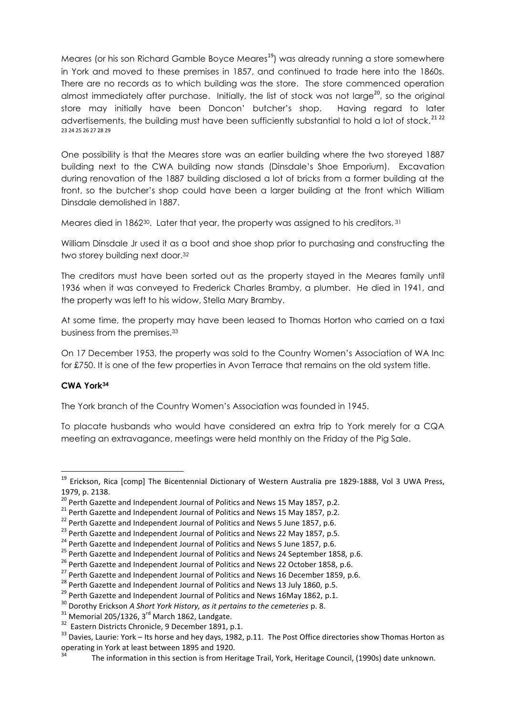Meares (or his son Richard Gamble Boyce Meares<sup>19</sup>) was already running a store somewhere in York and moved to these premises in 1857, and continued to trade here into the 1860s. There are no records as to which building was the store. The store commenced operation almost immediately after purchase. Initially, the list of stock was not large<sup>20</sup>, so the original store may initially have been Doncon' butcher's shop. Having regard to later advertisements, the building must have been sufficiently substantial to hold a lot of stock.<sup>21 22</sup> 23 24 25 26 27 28 29

One possibility is that the Meares store was an earlier building where the two storeyed 1887 building next to the CWA building now stands (Dinsdale's Shoe Emporium). Excavation during renovation of the 1887 building disclosed a lot of bricks from a former building at the front, so the butcher's shop could have been a larger building at the front which William Dinsdale demolished in 1887.

Meares died in 1862<sup>30</sup>. Later that year, the property was assigned to his creditors.<sup>31</sup>

William Dinsdale Jr used it as a boot and shoe shop prior to purchasing and constructing the two storey building next door.<sup>32</sup>

The creditors must have been sorted out as the property stayed in the Meares family until 1936 when it was conveyed to Frederick Charles Bramby, a plumber. He died in 1941, and the property was left to his widow, Stella Mary Bramby.

At some time, the property may have been leased to Thomas Horton who carried on a taxi business from the premises.<sup>33</sup>

On 17 December 1953, the property was sold to the Country Women's Association of WA Inc for £750. It is one of the few properties in Avon Terrace that remains on the old system title.

### **CWA York<sup>34</sup>**

**.** 

The York branch of the Country Women's Association was founded in 1945.

To placate husbands who would have considered an extra trip to York merely for a CQA meeting an extravagance, meetings were held monthly on the Friday of the Pig Sale.

<sup>&</sup>lt;sup>19</sup> Erickson, Rica [comp] The Bicentennial Dictionary of Western Australia pre 1829-1888, Vol 3 UWA Press, 1979, p. 2138.

<sup>&</sup>lt;sup>20</sup> Perth Gazette and Independent Journal of Politics and News 15 May 1857, p.2.

 $^{21}$  Perth Gazette and Independent Journal of Politics and News 15 May 1857, p.2.

 $22$  Perth Gazette and Independent Journal of Politics and News 5 June 1857, p.6.

<sup>&</sup>lt;sup>23</sup> Perth Gazette and Independent Journal of Politics and News 22 May 1857, p.5.

 $24$  Perth Gazette and Independent Journal of Politics and News 5 June 1857, p.6.

<sup>&</sup>lt;sup>25</sup> Perth Gazette and Independent Journal of Politics and News 24 September 1858, p.6.

<sup>&</sup>lt;sup>26</sup> Perth Gazette and Independent Journal of Politics and News 22 October 1858, p.6.

 $^{27}$  Perth Gazette and Independent Journal of Politics and News 16 December 1859, p.6.

<sup>&</sup>lt;sup>28</sup> Perth Gazette and Independent Journal of Politics and News 13 July 1860, p.5.

<sup>&</sup>lt;sup>29</sup> Perth Gazette and Independent Journal of Politics and News 16May 1862, p.1.

<sup>30</sup> Dorothy Erickson *A Short York History, as it pertains to the cemeteries* p. 8.

 $31$  Memorial 205/1326, 3<sup>rd</sup> March 1862, Landgate.

<sup>&</sup>lt;sup>32</sup> Eastern Districts Chronicle, 9 December 1891, p.1.

<sup>&</sup>lt;sup>33</sup> Davies, Laurie: York – Its horse and hey days, 1982, p.11. The Post Office directories show Thomas Horton as operating in York at least between 1895 and 1920.

<sup>34</sup> The information in this section is from Heritage Trail, York, Heritage Council, (1990s) date unknown.